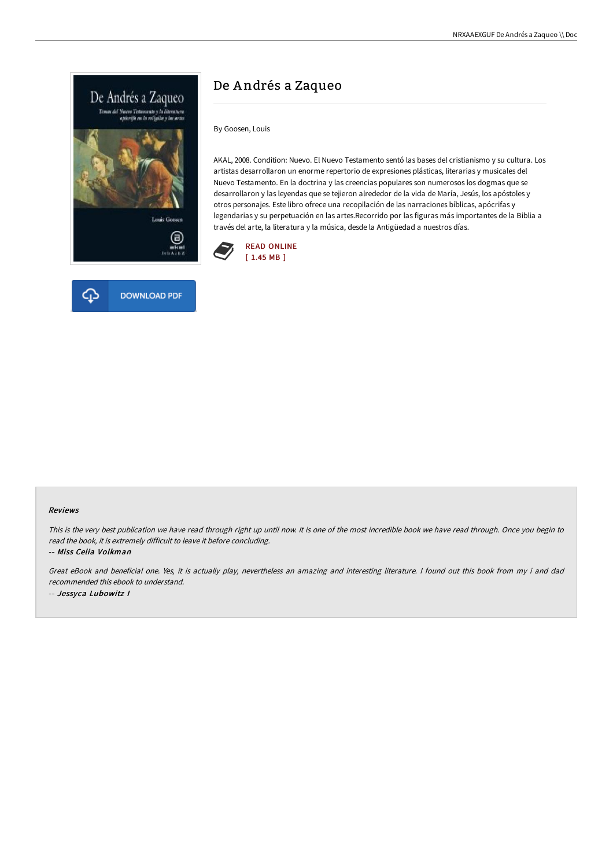



# De A ndrés a Zaqueo

By Goosen, Louis

AKAL, 2008. Condition: Nuevo. El Nuevo Testamento sentó las bases del cristianismo y su cultura. Los artistas desarrollaron un enorme repertorio de expresiones plásticas, literarias y musicales del Nuevo Testamento. En la doctrina y las creencias populares son numerosos los dogmas que se desarrollaron y las leyendas que se tejieron alrededor de la vida de María, Jesús, los apóstoles y otros personajes. Este libro ofrece una recopilación de las narraciones bíblicas, apócrifas y legendarias y su perpetuación en las artes.Recorrido por las figuras más importantes de la Biblia a través del arte, la literatura y la música, desde la Antigüedad a nuestros días.



### Reviews

This is the very best publication we have read through right up until now. It is one of the most incredible book we have read through. Once you begin to read the book, it is extremely difficult to leave it before concluding.

-- Miss Celia Volkman

Great eBook and beneficial one. Yes, it is actually play, nevertheless an amazing and interesting literature. <sup>I</sup> found out this book from my i and dad recommended this ebook to understand. -- Jessyca Lubowitz I